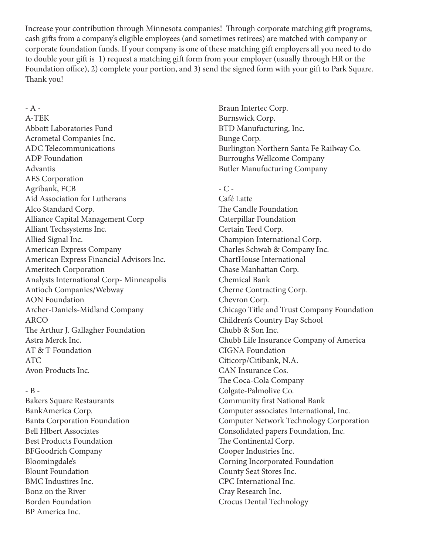Increase your contribution through Minnesota companies! Through corporate matching gift programs, cash gifts from a company's eligible employees (and sometimes retirees) are matched with company or corporate foundation funds. If your company is one of these matching gift employers all you need to do to double your gift is 1) request a matching gift form from your employer (usually through HR or the Foundation office), 2) complete your portion, and 3) send the signed form with your gift to Park Square. Thank you!

- A - A-TEK Abbott Laboratories Fund Acrometal Companies Inc. ADC Telecommunications ADP Foundation Advantis AES Corporation Agribank, FCB Aid Association for Lutherans Alco Standard Corp. Alliance Capital Management Corp Alliant Techsystems Inc. Allied Signal Inc. American Express Company American Express Financial Advisors Inc. Ameritech Corporation Analysts International Corp- Minneapolis Antioch Companies/Webway AON Foundation Archer-Daniels-Midland Company ARCO The Arthur J. Gallagher Foundation Astra Merck Inc. AT & T Foundation ATC Avon Products Inc.

### - B -

Bakers Square Restaurants BankAmerica Corp. Banta Corporation Foundation Bell Hlbert Associates Best Products Foundation BFGoodrich Company Bloomingdale's Blount Foundation BMC Industires Inc. Bonz on the River Borden Foundation BP America Inc.

Braun Intertec Corp. Burnswick Corp. BTD Manufucturing, Inc. Bunge Corp. Burlington Northern Santa Fe Railway Co. Burroughs Wellcome Company Butler Manufucturing Company

 $-C -$ 

Café Latte The Candle Foundation Caterpillar Foundation Certain Teed Corp. Champion International Corp. Charles Schwab & Company Inc. ChartHouse International Chase Manhattan Corp. Chemical Bank Cherne Contracting Corp. Chevron Corp. Chicago Title and Trust Company Foundation Children's Country Day School Chubb & Son Inc. Chubb Life Insurance Company of America CIGNA Foundation Citicorp/Citibank, N.A. CAN Insurance Cos. The Coca-Cola Company Colgate-Palmolive Co. Community first National Bank Computer associates International, Inc. Computer Network Technology Corporation Consolidated papers Foundation, Inc. The Continental Corp. Cooper Industries Inc. Corning Incorporated Foundation County Seat Stores Inc. CPC International Inc. Cray Research Inc. Crocus Dental Technology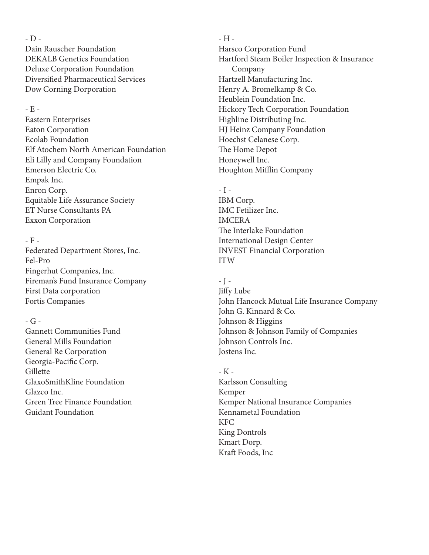- D - Dain Rauscher Foundation DEKALB Genetics Foundation Deluxe Corporation Foundation Diversified Pharmaceutical Services Dow Corning Dorporation

### - E -

Eastern Enterprises Eaton Corporation Ecolab Foundation Elf Atochem North American Foundation Eli Lilly and Company Foundation Emerson Electric Co. Empak Inc. Enron Corp. Equitable Life Assurance Society ET Nurse Consultants PA Exxon Corporation

# - F -

Federated Department Stores, Inc. Fel-Pro Fingerhut Companies, Inc. Fireman's Fund Insurance Company First Data corporation Fortis Companies

# $-G -$

Gannett Communities Fund General Mills Foundation General Re Corporation Georgia-Pacific Corp. Gillette GlaxoSmithKline Foundation Glazco Inc. Green Tree Finance Foundation Guidant Foundation

- H - Harsco Corporation Fund Hartford Steam Boiler Inspection & Insurance Company Hartzell Manufacturing Inc. Henry A. Bromelkamp & Co. Heublein Foundation Inc. Hickory Tech Corporation Foundation Highline Distributing Inc. HJ Heinz Company Foundation Hoechst Celanese Corp. The Home Depot Honeywell Inc. Houghton Mifflin Company

## $-I -$

IBM Corp. IMC Fetilizer Inc. IMCERA The Interlake Foundation International Design Center INVEST Financial Corporation ITW

## - J -

Jiffy Lube John Hancock Mutual Life Insurance Company John G. Kinnard & Co. Johnson & Higgins Johnson & Johnson Family of Companies Johnson Controls Inc. Jostens Inc.

- K - Karlsson Consulting Kemper Kemper National Insurance Companies Kennametal Foundation KFC King Dontrols Kmart Dorp. Kraft Foods, Inc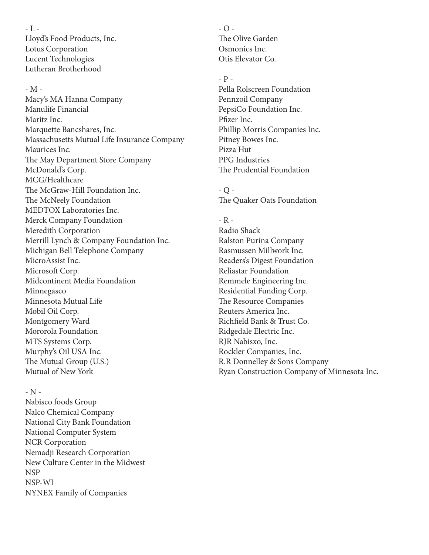- L - Lloyd's Food Products, Inc. Lotus Corporation Lucent Technologies Lutheran Brotherhood

### - M -

Macy's MA Hanna Company Manulife Financial Maritz Inc. Marquette Bancshares, Inc. Massachusetts Mutual Life Insurance Company Maurices Inc. The May Department Store Company McDonald's Corp. MCG/Healthcare The McGraw-Hill Foundation Inc. The McNeely Foundation MEDTOX Laboratories Inc. Merck Company Foundation Meredith Corporation Merrill Lynch & Company Foundation Inc. Michigan Bell Telephone Company MicroAssist Inc. Microsoft Corp. Midcontinent Media Foundation Minnegasco Minnesota Mutual Life Mobil Oil Corp. Montgomery Ward Mororola Foundation MTS Systems Corp. Murphy's Oil USA Inc. The Mutual Group (U.S.) Mutual of New York

### - N -

Nabisco foods Group Nalco Chemical Company National City Bank Foundation National Computer System NCR Corporation Nemadji Research Corporation New Culture Center in the Midwest NSP NSP-WI NYNEX Family of Companies

 $-$  O  $-$ The Olive Garden Osmonics Inc. Otis Elevator Co.

### - P -

Pella Rolscreen Foundation Pennzoil Company PepsiCo Foundation Inc. Pfizer Inc. Phillip Morris Companies Inc. Pitney Bowes Inc. Pizza Hut PPG Industries The Prudential Foundation

- Q - The Quaker Oats Foundation

- R - Radio Shack Ralston Purina Company Rasmussen Millwork Inc. Readers's Digest Foundation Reliastar Foundation Remmele Engineering Inc. Residential Funding Corp. The Resource Companies Reuters America Inc. Richfield Bank & Trust Co. Ridgedale Electric Inc. RJR Nabisxo, Inc. Rockler Companies, Inc. R.R Donnelley & Sons Company Ryan Construction Company of Minnesota Inc.